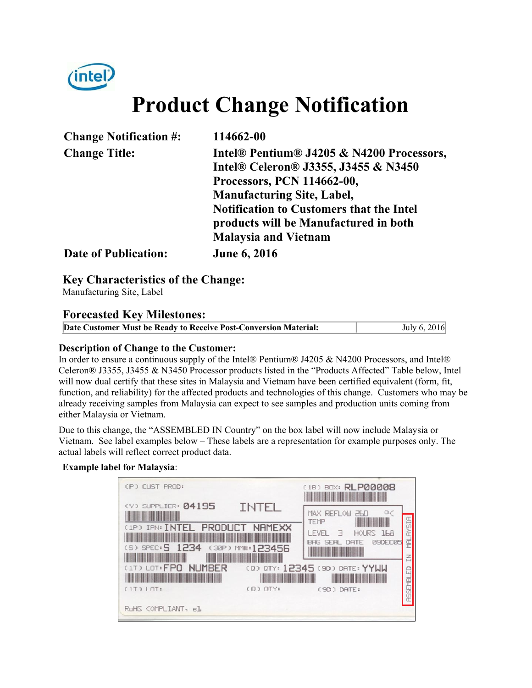

# **Product Change Notification**

| <b>Change Notification #:</b> | 114662-00                                       |
|-------------------------------|-------------------------------------------------|
| <b>Change Title:</b>          | Intel® Pentium® J4205 & N4200 Processors,       |
|                               | Intel® Celeron® J3355, J3455 & N3450            |
|                               | Processors, PCN 114662-00,                      |
|                               | <b>Manufacturing Site, Label,</b>               |
|                               | <b>Notification to Customers that the Intel</b> |
|                               | products will be Manufactured in both           |
|                               | <b>Malaysia and Vietnam</b>                     |
| <b>Date of Publication:</b>   | <b>June 6, 2016</b>                             |

**Key Characteristics of the Change:**

Manufacturing Site, Label

## **Forecasted Key Milestones:**

| Date Customer Must be Ready to Receive Post-Conversion Material: | July 6, 2016 |
|------------------------------------------------------------------|--------------|

#### **Description of Change to the Customer:**

In order to ensure a continuous supply of the Intel® Pentium® J4205 & N4200 Processors, and Intel® Celeron® J3355, J3455 & N3450 Processor products listed in the "Products Affected" Table below, Intel will now dual certify that these sites in Malaysia and Vietnam have been certified equivalent (form, fit, function, and reliability) for the affected products and technologies of this change. Customers who may be already receiving samples from Malaysia can expect to see samples and production units coming from either Malaysia or Vietnam.

Due to this change, the "ASSEMBLED IN Country" on the box label will now include Malaysia or Vietnam. See label examples below – These labels are a representation for example purposes only. The actual labels will reflect correct product data.

#### **Example label for Malaysia**:

| (P) CUST PROD:                                 |                  | (1B) BOX: RLP00008                                                                      |
|------------------------------------------------|------------------|-----------------------------------------------------------------------------------------|
| (V) SUPPLIER: 04195<br>(1P) IPN: INTEL PRODUCT | INTEL<br>NAMEXX  | MAX REFLOW<br><b>TEMP</b>                                                               |
| (S) SPEC: 5 1234                               | (30P) MM#:123456 | <b>IFVEL</b><br>HOURS 168<br>$\overline{\phantom{0}}$<br>DATE<br><b>PADECRS</b><br>BAG. |
| <b>NUMBER</b><br>(1T) LOT: FPO                 |                  | (0) OTY: 12345 (9D) DATE: YYWW                                                          |
| $(1T)$ $10T$ :<br>RoHS COMPLIANT, el           | $(0)$ $OTY$ :    | (9D) DATE:                                                                              |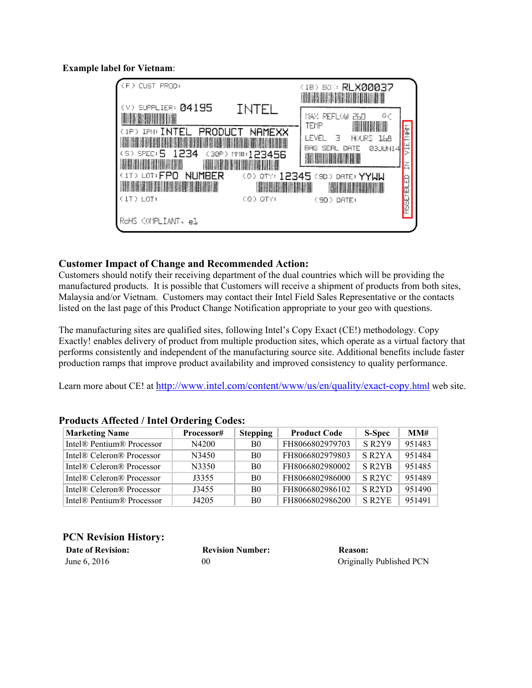**Example label for Vietnam**:

| CP XI<br>CUST.<br>PROD:                                                    |                 | (18) BOX: RLX00037<br><b>MARITIME IN 1999</b>                                              |                  |
|----------------------------------------------------------------------------|-----------------|--------------------------------------------------------------------------------------------|------------------|
| $(1)$ SUPPLIER: $04195$<br><b>IRE ALLIER</b><br>(1P) IPN: INTEL<br>PRODUCT | INTEL<br>NAMEXX | $\circ$ $\circ$<br>REFLOW<br>MAX.<br>260<br><b>All All A</b><br>₩<br>TEMP                  | 医三               |
| (S) SPEC: 5<br>1234                                                        | (30P) MH:123456 | I FVFL<br>Е<br>HOURS ILB<br><b>B3JUN1</b><br>BAG<br>SEA.<br>DATE<br>4<br><b>DEL TELETI</b> | <b>SIL</b>       |
| (1T) LOT: FPO<br>NUMBER<br><b>THE REAL PROPERTY OF A SET OF A SET OF A</b> | <b>THE REAL</b> | (0) OTY: 12345 (9D) DATE: YYUU<br><b>All Research</b>                                      | E                |
| (1T) LOT:                                                                  | (Q) QTY:        | (SD) DATE:                                                                                 | <b>RESEMBLED</b> |
| RoHS (OMPLIANT, el                                                         |                 |                                                                                            |                  |

#### **Customer Impact of Change and Recommended Action:**

Customers should notify their receiving department of the dual countries which will be providing the manufactured products. It is possible that Customers will receive a shipment of products from both sites, Malaysia and/or Vietnam. Customers may contact their Intel Field Sales Representative or the contacts listed on the last page of this Product Change Notification appropriate to your geo with questions.

The manufacturing sites are qualified sites, following Intel's Copy Exact (CE!) methodology. Copy Exactly! enables delivery of product from multiple production sites, which operate as a virtual factory that performs consistently and independent of the manufacturing source site. Additional benefits include faster production ramps that improve product availability and improved consistency to quality performance.

Learn more about CE! at http://www.intel.com/content/www/us/en/quality/exact-copy.html web site.

| <b>Marketing Name</b>                             | Processor# | <b>Stepping</b> | <b>Product Code</b> | <b>S-Spec</b>                   | MM#    |
|---------------------------------------------------|------------|-----------------|---------------------|---------------------------------|--------|
| Intel <sup>®</sup> Pentium <sup>®</sup> Processor | N4200      | <sub>B0</sub>   | FH8066802979703     | SR <sub>2</sub> Y <sub>9</sub>  | 951483 |
| Intel® Celeron® Processor                         | N3450      | <sub>B0</sub>   | FH8066802979803     | S R <sub>2</sub> Y <sub>A</sub> | 951484 |
| Intel® Celeron® Processor                         | N3350      | <sub>B0</sub>   | FH8066802980002     | S R <sub>2</sub> Y <sub>B</sub> | 951485 |
| Intel® Celeron® Processor                         | J3355      | B <sub>0</sub>  | FH8066802986000     | S R <sub>2</sub> Y <sub>C</sub> | 951489 |
| Intel® Celeron® Processor                         | J3455      | <sub>B0</sub>   | FH8066802986102     | S R <sub>2</sub> YD             | 951490 |
| Intel <sup>®</sup> Pentium <sup>®</sup> Processor | J4205      | B <sub>0</sub>  | FH8066802986200     | S R <sub>2</sub> Y <sub>E</sub> | 951491 |

#### **Products Affected / Intel Ordering Codes:**

## **PCN Revision History:**

| <b>Date of Revision:</b> | <b>Revision Number:</b> | <b>Reason:</b>           |
|--------------------------|-------------------------|--------------------------|
| June 6, 2016             | 00                      | Originally Published PCN |